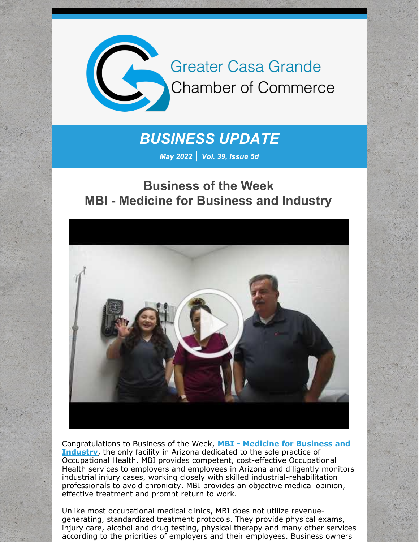

# *BUSINESS UPDATE*

*May 2022 | Vol. 39, Issue 5d*

# **Business of the Week MBI - Medicine for Business and Industry**



[Congratulations](http://www.mbiaz.com/) to Business of the Week, **MBI - Medicine for Business and Industry**, the only facility in Arizona dedicated to the sole practice of Occupational Health. MBI provides competent, cost-effective Occupational Health services to employers and employees in Arizona and diligently monitors industrial injury cases, working closely with skilled industrial-rehabilitation professionals to avoid chronicity. MBI provides an objective medical opinion, effective treatment and prompt return to work.

Unlike most occupational medical clinics, MBI does not utilize revenuegenerating, standardized treatment protocols. They provide physical exams, injury care, alcohol and drug testing, physical therapy and many other services according to the priorities of employers and their employees. Business owners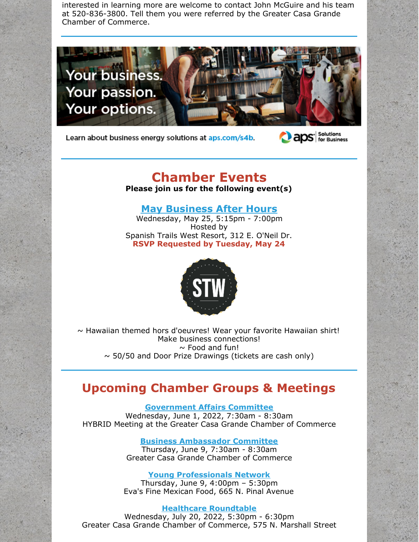interested in learning more are welcome to contact John McGuire and his team at 520-836-3800. Tell them you were referred by the Greater Casa Grande Chamber of Commerce.



Learn about business energy solutions at aps.com/s4b.



## **Chamber Events**

**Please join us for the following event(s)**

#### **May [Business](https://cca.casagrandechamber.org/EvtListing.aspx?dbid2=AZCAGR&evtid=28074&class=E) After Hours**

Wednesday, May 25, 5:15pm - 7:00pm Hosted by Spanish Trails West Resort, 312 E. O'Neil Dr. **RSVP Requested by Tuesday, May 24**



 $\sim$  Hawaiian themed hors d'oeuvres! Wear your favorite Hawaiian shirt! Make business connections!  $\sim$  Food and fun!  $\sim$  50/50 and Door Prize Drawings (tickets are cash only)

#### **Upcoming Chamber Groups & Meetings**

**[Government](https://r20.rs6.net/tn.jsp?f=001fIicdBpbhliEqVCT7hL0kgb44T_cd1KGMVZ2gk4PesSR1fk_x2IPRy6hjBCMbRwML_-15bJDDN-sil2ce4DHYyMwB-LxMeGAOyGRXE81mEdJAhwD-RfvSoB9TtcES_3IazKv94zwABBXq673UDZIzyFVL5xC2bgZf3SlogOK8qf5YlCW7eB-y6ZdpHtLaSDbQGLpiO2IRUZ3zc6fnUYeYY-5rYPDCPYq_Mq0ubBkjAo=&c=&ch=) Affairs Committee** Wednesday, June 1, 2022, 7:30am - 8:30am HYBRID Meeting at the Greater Casa Grande Chamber of Commerce

> **Business [Ambassador](https://r20.rs6.net/tn.jsp?f=001wR00tS-HiaI-x405wcQx0x2ZF1M9o_d6nyXYCPjBGnhCCnpyg5oTWuV1GPIge0vt-2Bmj1v65a2vhNNzvCjZnWZgLAEIHWcyszj60cxMzJ2xWZhkLZGQK9ezmTEpX3_nczgmQtsRWo7PvtL2tU82t5ttAJCHV9yD80xmosTv4PaxvoGMXiRmzGD-CSfrlLXwO7RHdlodhem9dFd_iTTcmP0nbwrO1DG00NqmzAtxFzo=&c=F17R6jEIaTc8zXuWmKvyR57PB9IyI1TfAQkEx28tB1MzQ-2SHkLW0g==&ch=VY2_vJH4mIGFUEBLJfNRy00ypkBPtVI8cFXqhPfo9UyK-8rj2_kmZw==) Committee** Thursday, June 9, 7:30am - 8:30am Greater Casa Grande Chamber of Commerce

**Young [Professionals](https://r20.rs6.net/tn.jsp?f=001SAfMcPdfFc7dp9FWdhX3dZnXeb1T58kHdow07G8o5-juBNtK7UHFSGEcPYZh0ln3TkuDO0dblgexBkSGRGlCdZoVTFG_2DKIbGiXWOkH5RK5h9hDw-Br4eb38MxpwJgrD5ACUdWQlHKHUv7RSf6USsc7ZrTwcaezG2YUvXJzz1A9zWFlACgFbJKgZ1x1YzGjOcKFMGmG_SkYZWEqceJ3wfhCTmDVI5d4cXb4IbOhucs=&c=&ch=) Network** Thursday, June 9, 4:00pm – 5:30pm Eva's Fine Mexican Food, 665 N. Pinal Avenue

#### **Healthcare [Roundtable](https://cca.casagrandechamber.org/EvtListing.aspx?dbid2=AZCAGR&evtid=37292&class=E)**

Wednesday, July 20, 2022, 5:30pm - 6:30pm Greater Casa Grande Chamber of Commerce, 575 N. Marshall Street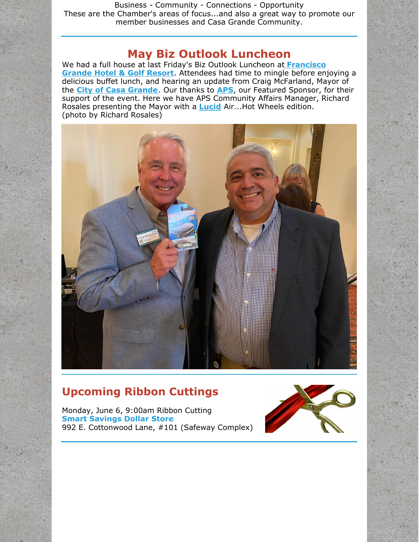Business - Community - Connections - Opportunity These are the Chamber's areas of focus...and also a great way to promote our member businesses and Casa Grande Community.

#### **May Biz Outlook Luncheon**

We had a full house at last Friday's Biz Outlook Luncheon at **[Francisco](http://www.franciscogrande.com) Grande Hotel & Golf Resort**. Attendees had time to mingle before enjoying a delicious buffet lunch, and hearing an update from Craig McFarland, Mayor of the **City of Casa [Grande](http://www.casagrandeaz.gov)**. Our thanks to **[APS](http://www.aps.com)**, our Featured Sponsor, for their support of the event. Here we have APS Community Affairs Manager, Richard Rosales presenting the Mayor with a **[Lucid](http://www.lucidmotors.com)** Air...Hot Wheels edition. (photo by Richard Rosales)



#### **Upcoming Ribbon Cuttings**

Monday, June 6, 9:00am Ribbon Cutting **Smart Savings Dollar Store** 992 E. Cottonwood Lane, #101 (Safeway Complex)

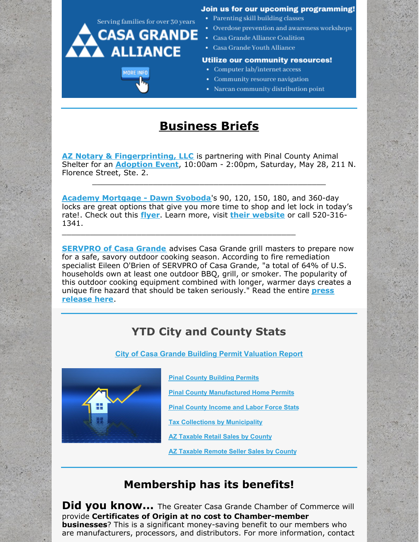

# **Business Briefs**

**AZ Notary & [Fingerprinting,](http://www.aznotaryandfingerprinting.com) LLC** is partnering with Pinal County Animal Shelter for an **[Adoption](https://files.constantcontact.com/8c5f2f7b701/8ce2f1f2-fba0-432a-8018-8cad1bb7da1b.pdf?rdr=true) Event**, 10:00am - 2:00pm, Saturday, May 28, 211 N. Florence Street, Ste. 2.

\_\_\_\_\_\_\_\_\_\_\_\_\_\_\_\_\_\_\_\_\_\_\_\_\_\_\_\_\_\_\_\_\_\_\_\_\_\_\_\_\_\_\_\_\_\_\_\_\_\_

**Academy [Mortgage](https://urldefense.com/v3/__https:/r20.rs6.net/tn.jsp?f=001EN734VFBR0ZW5182MWC7XiScX5aZXIf-MxpOOFzS8OCmPak4uUmITSCk2uuwvCgCaZQ5-UxEK2JWHVDQ7FoLA8w75id_Uix9KmBZtbQ0DCKuOtCFgVehmRzFKMpxezjoaTRoO2eFQIY9HUSXwrFTj6B8KaWTRlb7io4WYesFRMC853xjm-4Ool-BTCL_Js2ZOiU4tj0zLjsRYtFXiXaMtB8VUb3QYysi8mEwAsijzo8=&c=sxxBZ2Lc7UB6pzbS3jycbIGlNDXdj8D_ogD0TSkOZYu07N4pp-wobA==&ch=0d1p0Az7npJT63MUnmUPNO4hj_sy-7R6HjfThGZd2xJ3-FMa2cRIkA==__;!!G56PLLyD-9nXgFhp!MpI9hPHpxvkqP945mdppojzE8VDl43-1vPVA3kWsJIf3LqOVe9fIPPb8h4Do3pGlk7nviwZJAi55Nm8KDoE28Ed2atBjGC-QBVGXbY4%24) - Dawn Svoboda**'s 90, 120, 150, 180, and 360-day locks are great options that give you more time to shop and let lock in today's rate!. Check out this **[flyer](https://files.constantcontact.com/8c5f2f7b701/90d13f42-ccb8-41dc-907c-993b5a16665f.pdf?rdr=true)**. Learn more, visit **their [website](https://urldefense.com/v3/__https:/r20.rs6.net/tn.jsp?f=001EN734VFBR0ZW5182MWC7XiScX5aZXIf-MxpOOFzS8OCmPak4uUmITb5NGfAeUMPhoOVntnf6pHVF1qOACoWlzyt1tZX0SsOYAMR8VVrNfitU1xvvM3eFnI6raup7cqe2vCNJQ3RFOH0f_Hy6Dx40upzLm_i02U_wv4AhoOs39yk=&c=sxxBZ2Lc7UB6pzbS3jycbIGlNDXdj8D_ogD0TSkOZYu07N4pp-wobA==&ch=0d1p0Az7npJT63MUnmUPNO4hj_sy-7R6HjfThGZd2xJ3-FMa2cRIkA==__;!!G56PLLyD-9nXgFhp!MpI9hPHpxvkqP945mdppojzE8VDl43-1vPVA3kWsJIf3LqOVe9fIPPb8h4Do3pGlk7nviwZJAi55Nm8KDoE28Ed2atBjGC-QcCF71EM%24)** or call 520-316- 1341.

\_\_\_\_\_\_\_\_\_\_\_\_\_\_\_\_\_\_\_\_\_\_\_\_\_\_\_\_\_\_\_\_\_\_\_\_\_\_\_\_\_\_\_\_\_\_\_\_\_\_

**[SERVPRO](http://www.servprocasagrande.com/) of Casa Grande** advises Casa Grande grill masters to prepare now for a safe, savory outdoor cooking season. According to fire remediation specialist Eileen O'Brien of SERVPRO of Casa Grande, "a total of 64% of U.S. households own at least one outdoor BBQ, grill, or smoker. The popularity of this outdoor cooking equipment combined with longer, warmer days creates a unique fire hazard that should be taken [seriously."](https://files.constantcontact.com/8c5f2f7b701/e74616e8-ee2f-44ef-b8f8-9788d7f1e54c.pdf?rdr=true) Read the entire **press release here**.

### **YTD City and County Stats**

**City of Casa Grande Building Permit [Valuation](https://files.constantcontact.com/8c5f2f7b701/6555c490-4657-4684-bc9d-a6d65f570ff4.pdf?rdr=true) Report**



**Pinal County [Building](https://files.constantcontact.com/8c5f2f7b701/b2e0ddd9-0bd1-4610-9c2a-9bfd2418c0d5.pdf?rdr=true) Permits**

**Pinal County [Manufactured](https://files.constantcontact.com/8c5f2f7b701/871008a7-cbaa-46a5-88fd-e62144413527.pdf?rdr=true) Home Permits**

**Pinal County [Income](https://www.azeconomy.org/data/pinal-county/) and Labor Force Stats**

**Tax Collections by [Municipality](https://files.constantcontact.com/8c5f2f7b701/4a7cef2e-734a-4063-8d87-3bd1a1877361.pdf?rdr=true)**

**AZ [Taxable](https://files.constantcontact.com/8c5f2f7b701/38653ba5-bee7-4ed2-9a17-5b7a8cb2b090.pdf?rdr=true) Retail Sales by County**

**AZ [Taxable](https://files.constantcontact.com/8c5f2f7b701/51421e83-de12-4109-8e49-37222f94fa23.pdf?rdr=true) Remote Seller Sales by County**

#### **Membership has its benefits!**

**Did you know...** The Greater Casa Grande Chamber of Commerce will provide **Certificates of Origin at no cost to Chamber-member businesses**? This is a significant money-saving benefit to our members who are manufacturers, processors, and distributors. For more information, contact